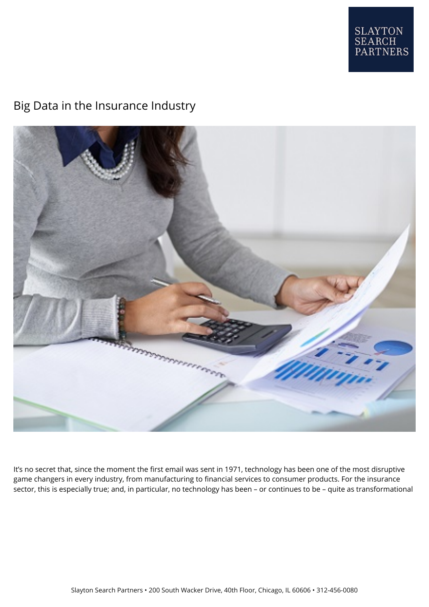

# Big Data in the Insurance Industry



It's no secret that, since the moment the first email was sent in 1971, technology has been one of the most disruptive game changers in every industry, from manufacturing to financial services to consumer products. For the insurance sector, this is especially true; and, in particular, no technology has been – or continues to be – quite as transformational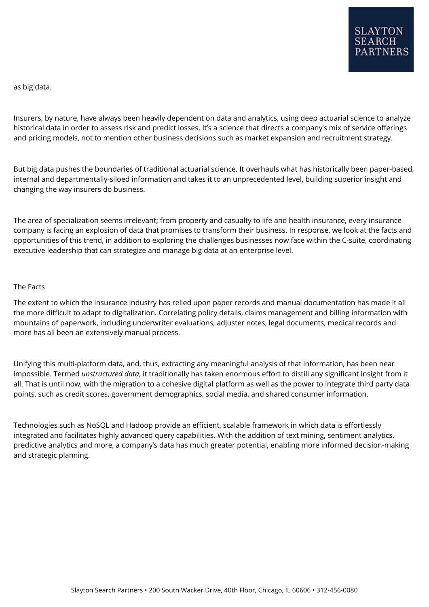as big data.

Insurers, by nature, have always been heavily dependent on data and analytics, using deep actuarial science to analyze historical data in order to assess risk and predict losses. It's a science that directs a company's mix of service offerings and pricing models, not to mention other business decisions such as market expansion and recruitment strategy.

But big data pushes the boundaries of traditional actuarial science. It overhauls what has historically been paper-based, internal and departmentally-siloed information and takes it to an unprecedented level, building superior insight and changing the way insurers do business.

The area of specialization seems irrelevant; from property and casualty to life and health insurance, every insurance company is facing an explosion of data that promises to transform their business. In response, we look at the facts and opportunities of this trend, in addition to exploring the challenges businesses now face within the C-suite, coordinating executive leadership that can strategize and manage big data at an enterprise level.

### The Facts

The extent to which the insurance industry has relied upon paper records and manual documentation has made it all the more difficult to adapt to digitalization. Correlating policy details, claims management and billing information with mountains of paperwork, including underwriter evaluations, adjuster notes, legal documents, medical records and more has all been an extensively manual process.

Unifying this multi-platform data, and, thus, extracting any meaningful analysis of that information, has been near impossible. Termed *unstructured data*, it traditionally has taken enormous effort to distill any significant insight from it all. That is until now, with the migration to a cohesive digital platform as well as the power to integrate third party data points, such as credit scores, government demographics, social media, and shared consumer information.

Technologies such as NoSQL and Hadoop provide an efficient, scalable framework in which data is effortlessly integrated and facilitates highly advanced query capabilities. With the addition of text mining, sentiment analytics, predictive analytics and more, a company's data has much greater potential, enabling more informed decision-making and strategic planning.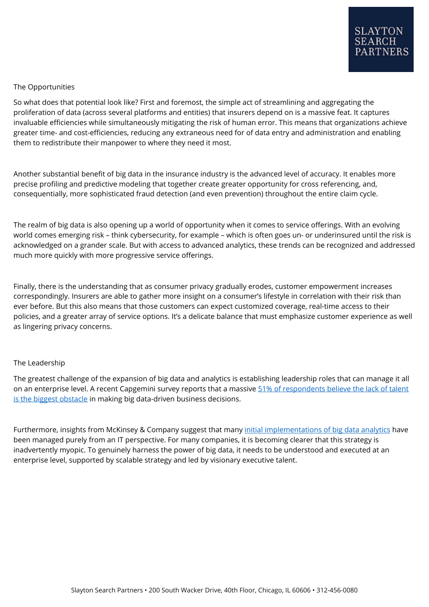## The Opportunities

So what does that potential look like? First and foremost, the simple act of streamlining and aggregating the proliferation of data (across several platforms and entities) that insurers depend on is a massive feat. It captures invaluable efficiencies while simultaneously mitigating the risk of human error. This means that organizations achieve greater time- and cost-efficiencies, reducing any extraneous need for of data entry and administration and enabling them to redistribute their manpower to where they need it most.

Another substantial benefit of big data in the insurance industry is the advanced level of accuracy. It enables more precise profiling and predictive modeling that together create greater opportunity for cross referencing, and, consequentially, more sophisticated fraud detection (and even prevention) throughout the entire claim cycle.

The realm of big data is also opening up a world of opportunity when it comes to service offerings. With an evolving world comes emerging risk – think cybersecurity, for example – which is often goes un- or underinsured until the risk is acknowledged on a grander scale. But with access to advanced analytics, these trends can be recognized and addressed much more quickly with more progressive service offerings.

Finally, there is the understanding that as consumer privacy gradually erodes, customer empowerment increases correspondingly. Insurers are able to gather more insight on a consumer's lifestyle in correlation with their risk than ever before. But this also means that those customers can expect customized coverage, real-time access to their policies, and a greater array of service options. It's a delicate balance that must emphasize customer experience as well as lingering privacy concerns.

# The Leadership

The greatest challenge of the expansion of big data and analytics is establishing leadership roles that can manage it all on an enterprise level. A recent Capgemini survey reports that a massive [51% of respondents believe the lack of talent](https://www.capgemini.com/thought-leadership/big-fast-data-the-rise-of-insight-driven-business) [is the biggest obstacle](https://www.capgemini.com/thought-leadership/big-fast-data-the-rise-of-insight-driven-business) in making big data-driven business decisions.

Furthermore, insights from McKinsey & Company suggest that many [initial implementations of big data analytics](http://www.mckinsey.com/industries/financial-services/our-insights/unleashing-the-value-of-advanced-analytics-in-insurance) have been managed purely from an IT perspective. For many companies, it is becoming clearer that this strategy is inadvertently myopic. To genuinely harness the power of big data, it needs to be understood and executed at an enterprise level, supported by scalable strategy and led by visionary executive talent.